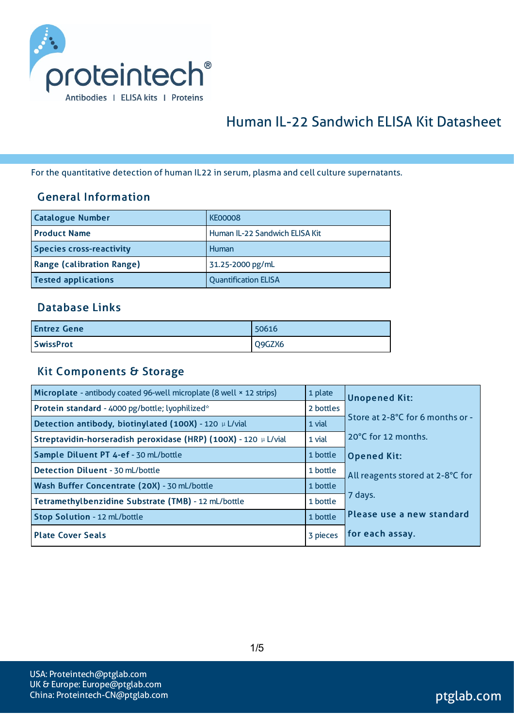

# Human IL-22 Sandwich ELISA Kit Datasheet

For the quantitative detection of human IL22 in serum, plasma and cell culture supernatants.

### General Information

| <b>Catalogue Number</b>          | <b>KE00008</b>                 |
|----------------------------------|--------------------------------|
| <b>Product Name</b>              | Human IL-22 Sandwich ELISA Kit |
| <b>Species cross-reactivity</b>  | Human                          |
| <b>Range (calibration Range)</b> | 31.25-2000 pg/mL               |
| <b>Tested applications</b>       | <b>Quantification ELISA</b>    |

#### Database Links

| <b>Entrez Gene</b> | 50616  |
|--------------------|--------|
| <b>SwissProt</b>   | Q9GZX6 |

#### Kit Components & Storage

| Microplate - antibody coated 96-well microplate (8 well × 12 strips) | 1 plate   | <b>Unopened Kit:</b>             |
|----------------------------------------------------------------------|-----------|----------------------------------|
| Protein standard - 4000 pg/bottle; lyophilized*                      | 2 bottles |                                  |
| Detection antibody, biotinylated (100X) - 120 µ L/vial               | 1 vial    | Store at 2-8°C for 6 months or - |
| Streptavidin-horseradish peroxidase (HRP) (100X) - 120 µ L/vial      | 1 vial    | 20°C for 12 months.              |
| Sample Diluent PT 4-ef - 30 mL/bottle                                | 1 bottle  | <b>Opened Kit:</b>               |
| Detection Diluent - 30 mL/bottle                                     | 1 bottle  | All reagents stored at 2-8°C for |
| Wash Buffer Concentrate (20X) - 30 mL/bottle                         | 1 bottle  |                                  |
| Tetramethylbenzidine Substrate (TMB) - 12 mL/bottle                  | 1 bottle  | 7 days.                          |
| <b>Stop Solution - 12 mL/bottle</b>                                  | 1 bottle  | Please use a new standard        |
| <b>Plate Cover Seals</b>                                             | 3 pieces  | for each assay.                  |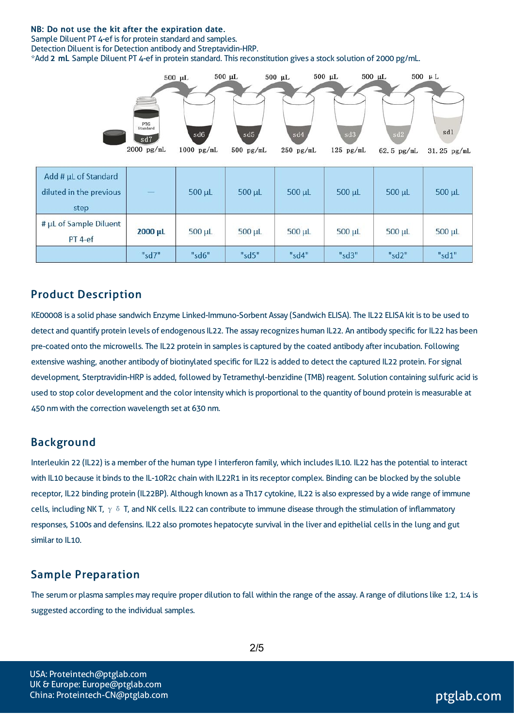#### NB: Do not use the kit after the expiration date.

Sample Diluent PT 4-ef is for protein standard and samples.

Detection Diluent is for Detection antibody and Streptavidin-HRP.

\*Add 2 mL Sample Diluent PT 4-ef in protein standard. Thisreconstitution gives a stock solution of 2000 pg/mL.



| Add # µL of Standard<br>diluted in the previous<br>step |         | $500 \mu L$ | 500 µL      | $500 \mu L$ | $500 \mu L$ | $500 \mu L$ | $500 \mu L$ |
|---------------------------------------------------------|---------|-------------|-------------|-------------|-------------|-------------|-------------|
| # µL of Sample Diluent<br>$PT$ 4-ef                     | 2000 µL | $500 \mu L$ | $500 \mu L$ | $500 \mu L$ | 500 µL      | 500 µL      | $500 \mu L$ |
|                                                         | "sd7"   | "sd6"       | "sd5"       | "sd4"       | "sd3"       | "sd2"       | "sd1"       |

#### Product Description

KE00008 is a solid phase sandwich Enzyme Linked-Immuno-Sorbent Assay (Sandwich ELISA). The IL22 ELISA kit isto be used to detect and quantify protein levels of endogenous IL22. The assay recognizes human IL22. An antibody specific for IL22 has been pre-coated onto the microwells. The IL22 protein in samples is captured by the coated antibody after incubation. Following extensive washing, another antibody of biotinylated specific for IL22 is added to detect the captured IL22 protein. For signal development, Sterptravidin-HRP is added, followed by Tetramethyl-benzidine (TMB) reagent. Solution containing sulfuric acid is used to stop color development and the color intensitywhich is proportional to the quantity of bound protein is measurable at 450 nm with the correction wavelength set at 630 nm.

#### Background

Interleukin 22 (IL22) is a member of the human type I interferon family, which includes IL10. IL22 has the potential to interact with IL10 because it binds to the IL-10R2c chain with IL22R1 in its receptor complex. Binding can be blocked by the soluble receptor, IL22 binding protein (IL22BP). Although known as a Th17 cytokine, IL22 is also expressed by a wide range of immune cells, including NK T,  $\gamma \delta$  T, and NK cells. IL22 can contribute to immune disease through the stimulation of inflammatory responses, S100s and defensins. IL22 also promotes hepatocyte survival in the liver and epithelial cellsin the lung and gut similar to IL10.

### Sample Preparation

The serum or plasma samples may require proper dilution to fall within the range of the assay. A range of dilutions like 1:2, 1:4 is suggested according to the individual samples.

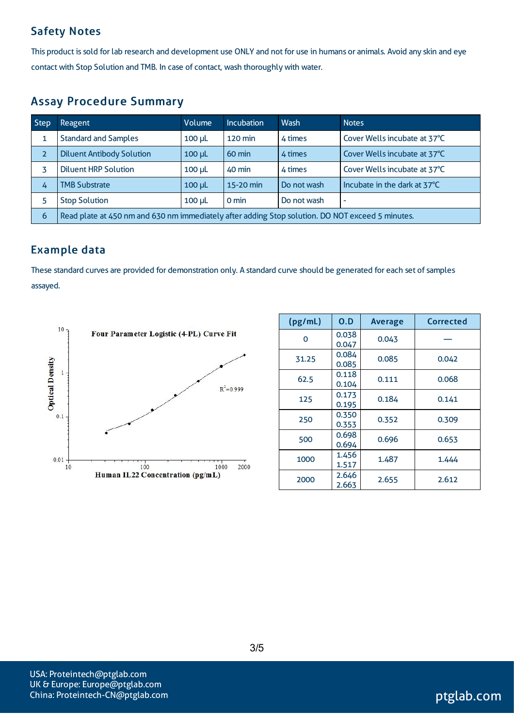### Safety Notes

This product is sold for lab research and development use ONLY and not for use in humans or animals. Avoid any skin and eye contact with Stop Solution and TMB. In case of contact, wash thoroughly with water.

### Assay Procedure Summary

| <b>Step</b>    | Reagent                                                                                          | Volume        | Incubation        | Wash        | <b>Notes</b>                 |  |
|----------------|--------------------------------------------------------------------------------------------------|---------------|-------------------|-------------|------------------------------|--|
|                | <b>Standard and Samples</b>                                                                      | $100 \mu L$   | $120 \text{ min}$ | 4 times     | Cover Wells incubate at 37°C |  |
| $\overline{z}$ | <b>Diluent Antibody Solution</b>                                                                 | $100$ $\mu$   | $60 \text{ min}$  | 4 times     | Cover Wells incubate at 37°C |  |
|                | <b>Diluent HRP Solution</b>                                                                      | $100$ $\mu$ L | 40 min            | 4 times     | Cover Wells incubate at 37°C |  |
| 4              | <b>TMB Substrate</b>                                                                             | $100$ $\mu$   | 15-20 min         | Do not wash | Incubate in the dark at 37°C |  |
| 5              | <b>Stop Solution</b>                                                                             | $100$ $\mu$   | 0 min             | Do not wash | $\overline{\phantom{a}}$     |  |
| 6              | Read plate at 450 nm and 630 nm immediately after adding Stop solution. DO NOT exceed 5 minutes. |               |                   |             |                              |  |

### Example data

These standard curves are provided for demonstration only. A standard curve should be generated for each set of samples assayed.



| (pg/mL) | O.D            | <b>Average</b> | Corrected |
|---------|----------------|----------------|-----------|
| 0       | 0.038<br>0.047 | 0.043          |           |
| 31.25   | 0.084<br>0.085 | 0.085          | 0.042     |
| 62.5    | 0.118<br>0.104 | 0.111          | 0.068     |
| 125     | 0.173<br>0.195 | 0.184          | 0.141     |
| 250     | 0.350<br>0.353 | 0.352          | 0.309     |
| 500     | 0.698<br>0.694 | 0.696          | 0.653     |
| 1000    | 1.456<br>1.517 | 1.487          | 1.444     |
| 2000    | 2.646<br>2.663 | 2.655          | 2.612     |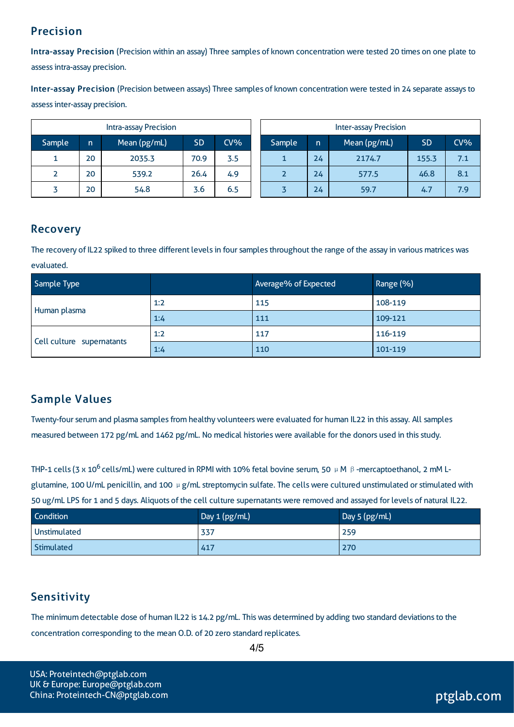### Precision

Intra-assay Precision (Precision within an assay) Three samples of known concentration were tested 20 times on one plate to assessintra-assay precision.

Inter-assay Precision (Precision between assays) Three samples of known concentration were tested in 24 separate assaysto assessinter-assay precision.

|        |    | <b>Intra-assay Precision</b> |           |        | <b>Inter-assay Precision</b> |        |    |              |           |     |
|--------|----|------------------------------|-----------|--------|------------------------------|--------|----|--------------|-----------|-----|
| Sample | n  | Mean (pg/mL)                 | <b>SD</b> | $CV\%$ |                              | Sample | m  | Mean (pg/mL) | <b>SD</b> | CV% |
| ┻.     | 20 | 2035.3                       | 70.9      | 3.5    |                              |        | 24 | 2174.7       | 155.3     | 7.1 |
|        | 20 | 539.2                        | 26.4      | 4.9    |                              |        | 24 | 577.5        | 46.8      | 8.1 |
|        | 20 | 54.8                         | 3.6       | 6.5    |                              |        | 24 | 59.7         | 4.7       | 7.9 |

### Recovery

The recovery of IL22 spiked to three different levels in four samples throughout the range of the assay in various matrices was evaluated.

| Sample Type               |     | Average% of Expected | Range (%) |
|---------------------------|-----|----------------------|-----------|
|                           | 1:2 | 115                  | 108-119   |
| Human plasma              | 1:4 | 111                  | 109-121   |
| Cell culture supernatants | 1:2 | 117                  | 116-119   |
|                           | 1:4 | 110                  | 101-119   |

### Sample Values

Twenty-four serum and plasma samples from healthy volunteers were evaluated for human IL22 in this assay. All samples measured between 172 pg/mL and 1462 pg/mL. No medical histories were available for the donors used in this study.

THP-1 cells (3 x 10<sup>6</sup> cells/mL) were cultured in RPMI with 10% fetal bovine serum, 50 μM β-mercaptoethanol, 2 mM Lglutamine, 100 U/mL penicillin, and 100  $\mu$  g/mL streptomycin sulfate. The cells were cultured unstimulated or stimulated with 50 ug/mL LPS for 1 and 5 days. Aliquots of the cell culture supernatantswere removed and assayed for levels of natural IL22.

| <b>Condition</b> | Day 1 (pg/mL) | Day 5 (pg/mL) |
|------------------|---------------|---------------|
| Unstimulated     | 337           | 259           |
| Stimulated       | 417           | 270           |

## **Sensitivity**

The minimum detectable dose of human IL22 is 14.2 pg/mL. This was determined by adding two standard deviations to the concentration corresponding to the mean O.D. of 20 zero standard replicates.

4/5